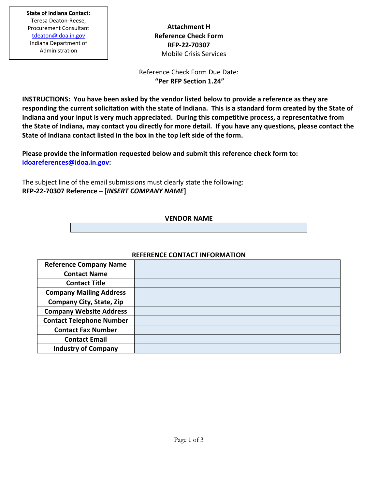**Attachment H Reference Check Form RFP-22-70307** Mobile Crisis Services

Reference Check Form Due Date: **"Per RFP Section 1.24"** 

**INSTRUCTIONS: You have been asked by the vendor listed below to provide a reference as they are responding the current solicitation with the state of Indiana. This is a standard form created by the State of Indiana and your input is very much appreciated. During this competitive process, a representative from the State of Indiana, may contact you directly for more detail. If you have any questions, please contact the State of Indiana contact listed in the box in the top left side of the form.** 

**Please provide the information requested below and submit this reference check form to: [idoareferences@idoa.in.gov:](mailto:idoareferences@idoa.in.gov)** 

The subject line of the email submissions must clearly state the following: **RFP-22-70307 Reference – [***INSERT COMPANY NAME***]** 

## **VENDOR NAME**

## **REFERENCE CONTACT INFORMATION**

| <b>Reference Company Name</b>   |  |
|---------------------------------|--|
| <b>Contact Name</b>             |  |
| <b>Contact Title</b>            |  |
| <b>Company Mailing Address</b>  |  |
| <b>Company City, State, Zip</b> |  |
| <b>Company Website Address</b>  |  |
| <b>Contact Telephone Number</b> |  |
| <b>Contact Fax Number</b>       |  |
| <b>Contact Email</b>            |  |
| <b>Industry of Company</b>      |  |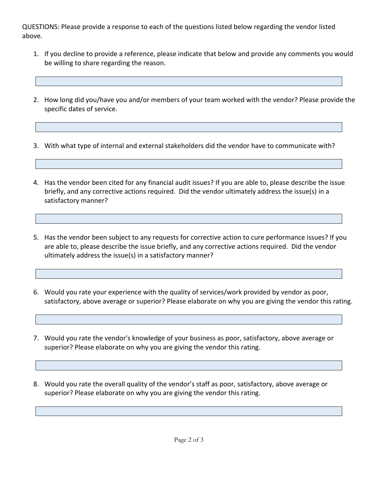QUESTIONS: Please provide a response to each of the questions listed below regarding the vendor listed above.

- 1. If you decline to provide a reference, please indicate that below and provide any comments you would be willing to share regarding the reason.
- 2. How long did you/have you and/or members of your team worked with the vendor? Please provide the specific dates of service.

3. With what type of internal and external stakeholders did the vendor have to communicate with?

- 4. Has the vendor been cited for any financial audit issues? If you are able to, please describe the issue briefly, and any corrective actions required. Did the vendor ultimately address the issue(s) in a satisfactory manner?
- 5. Has the vendor been subject to any requests for corrective action to cure performance issues? If you are able to, please describe the issue briefly, and any corrective actions required. Did the vendor ultimately address the issue(s) in a satisfactory manner?
- 6. Would you rate your experience with the quality of services/work provided by vendor as poor, satisfactory, above average or superior? Please elaborate on why you are giving the vendor this rating.
- 7. Would you rate the vendor's knowledge of your business as poor, satisfactory, above average or superior? Please elaborate on why you are giving the vendor this rating.
- 8. Would you rate the overall quality of the vendor's staff as poor, satisfactory, above average or superior? Please elaborate on why you are giving the vendor this rating.